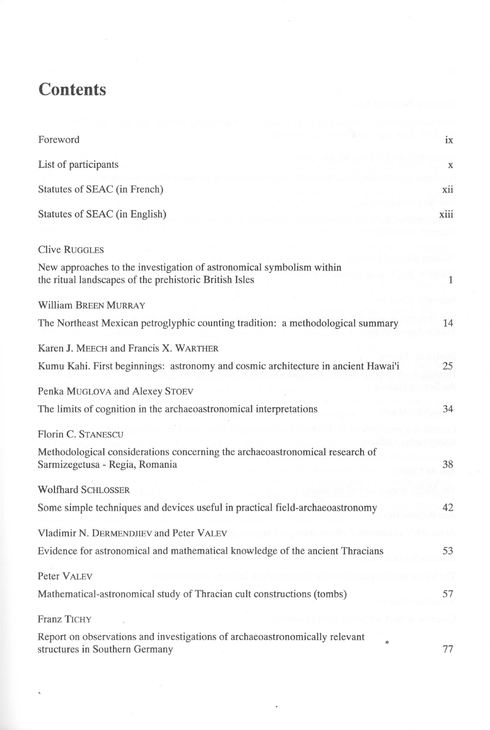## **Contents**

| Foreword                                                                                                                       | ix           |
|--------------------------------------------------------------------------------------------------------------------------------|--------------|
| List of participants                                                                                                           | $\mathbf X$  |
| Statutes of SEAC (in French)                                                                                                   | xii          |
| Statutes of SEAC (in English)                                                                                                  | xiii         |
| <b>Clive RUGGLES</b>                                                                                                           |              |
| New approaches to the investigation of astronomical symbolism within<br>the ritual landscapes of the prehistoric British Isles | $\mathbf{1}$ |
| <b>William BREEN MURRAY</b>                                                                                                    |              |
| The Northeast Mexican petroglyphic counting tradition: a methodological summary                                                | 14           |
| Karen J. MEECH and Francis X. WARTHER                                                                                          |              |
| Kumu Kahi. First beginnings: astronomy and cosmic architecture in ancient Hawai'i                                              | 25           |
| Penka MUGLOVA and Alexey STOEV                                                                                                 |              |
| The limits of cognition in the archaeoastronomical interpretations                                                             | 34           |
| Florin C. STANESCU                                                                                                             |              |
| Methodological considerations concerning the archaeoastronomical research of<br>Sarmizegetusa - Regia, Romania                 | 38           |
| <b>Wolfhard SCHLOSSER</b>                                                                                                      |              |
| Some simple techniques and devices useful in practical field-archaeoastronomy                                                  | 42           |
| Vladimir N. DERMENDJIEV and Peter VALEV                                                                                        |              |
| Evidence for astronomical and mathematical knowledge of the ancient Thracians                                                  | 53           |
| Peter VALEV                                                                                                                    |              |
| Mathematical-astronomical study of Thracian cult constructions (tombs)                                                         | 57           |
| <b>Franz TICHY</b>                                                                                                             |              |
| Report on observations and investigations of archaeoastronomically relevant<br>structures in Southern Germany                  | 77           |